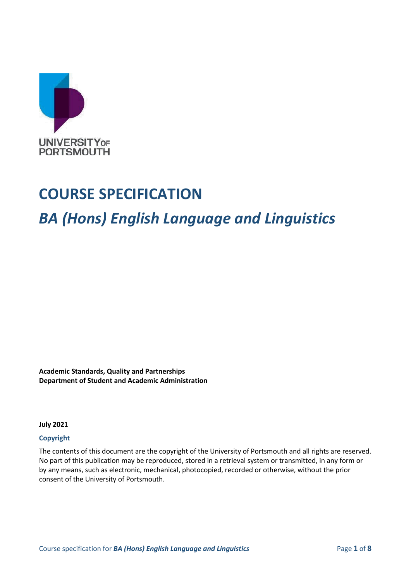

# **COURSE SPECIFICATION**

# *BA (Hons) English Language and Linguistics*

**Academic Standards, Quality and Partnerships Department of Student and Academic Administration**

**July 2021**

### **Copyright**

The contents of this document are the copyright of the University of Portsmouth and all rights are reserved. No part of this publication may be reproduced, stored in a retrieval system or transmitted, in any form or by any means, such as electronic, mechanical, photocopied, recorded or otherwise, without the prior consent of the University of Portsmouth.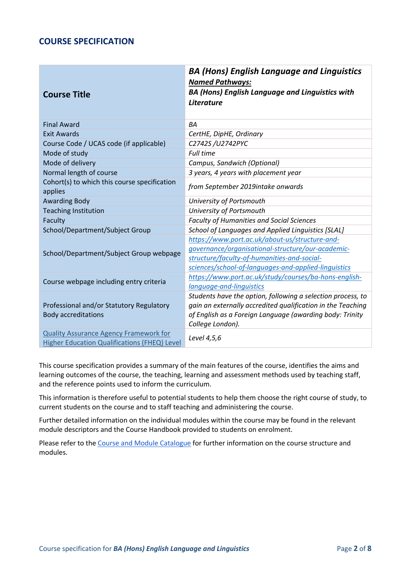### **COURSE SPECIFICATION**

| <b>Course Title</b>                                                                           | <b>BA (Hons) English Language and Linguistics</b><br><b>Named Pathways:</b><br><b>BA (Hons) English Language and Linguistics with</b><br>Literature                                                        |
|-----------------------------------------------------------------------------------------------|------------------------------------------------------------------------------------------------------------------------------------------------------------------------------------------------------------|
| <b>Final Award</b>                                                                            | <b>BA</b>                                                                                                                                                                                                  |
| Exit Awards                                                                                   | CertHE, DipHE, Ordinary                                                                                                                                                                                    |
| Course Code / UCAS code (if applicable)                                                       | C2742S /U2742PYC                                                                                                                                                                                           |
| Mode of study                                                                                 | <b>Full time</b>                                                                                                                                                                                           |
| Mode of delivery                                                                              | Campus, Sandwich (Optional)                                                                                                                                                                                |
| Normal length of course                                                                       | 3 years, 4 years with placement year                                                                                                                                                                       |
| Cohort(s) to which this course specification<br>applies                                       | from September 2019intake onwards                                                                                                                                                                          |
| <b>Awarding Body</b>                                                                          | University of Portsmouth                                                                                                                                                                                   |
| <b>Teaching Institution</b>                                                                   | University of Portsmouth                                                                                                                                                                                   |
| Faculty                                                                                       | <b>Faculty of Humanities and Social Sciences</b>                                                                                                                                                           |
| School/Department/Subject Group                                                               | School of Languages and Applied Linguistics [SLAL]                                                                                                                                                         |
| School/Department/Subject Group webpage                                                       | https://www.port.ac.uk/about-us/structure-and-<br>governance/organisational-structure/our-academic-<br>structure/faculty-of-humanities-and-social-<br>sciences/school-of-languages-and-applied-linguistics |
| Course webpage including entry criteria                                                       | https://www.port.ac.uk/study/courses/ba-hons-english-<br>language-and-linguistics                                                                                                                          |
| Professional and/or Statutory Regulatory<br><b>Body accreditations</b>                        | Students have the option, following a selection process, to<br>gain an externally accredited qualification in the Teaching<br>of English as a Foreign Language (awarding body: Trinity<br>College London). |
| <b>Quality Assurance Agency Framework for</b><br>Higher Education Qualifications (FHEQ) Level | Level 4,5,6                                                                                                                                                                                                |

This course specification provides a summary of the main features of the course, identifies the aims and learning outcomes of the course, the teaching, learning and assessment methods used by teaching staff, and the reference points used to inform the curriculum.

This information is therefore useful to potential students to help them choose the right course of study, to current students on the course and to staff teaching and administering the course.

Further detailed information on the individual modules within the course may be found in the relevant module descriptors and the Course Handbook provided to students on enrolment.

Please refer to the [Course and Module Catalogue](https://course-module-catalog.port.ac.uk/#/welcome) for further information on the course structure and modules.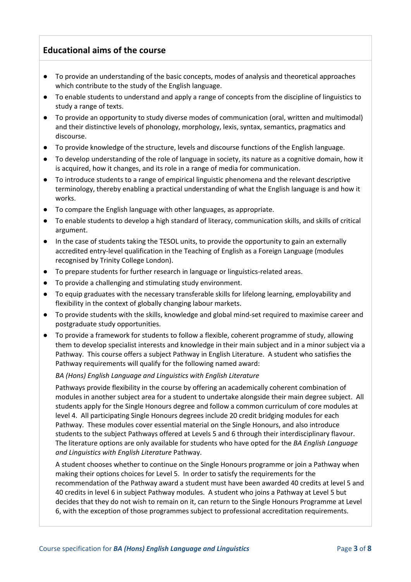## **Educational aims of the course**

- To provide an understanding of the basic concepts, modes of analysis and theoretical approaches which contribute to the study of the English language.
- To enable students to understand and apply a range of concepts from the discipline of linguistics to study a range of texts.
- To provide an opportunity to study diverse modes of communication (oral, written and multimodal) and their distinctive levels of phonology, morphology, lexis, syntax, semantics, pragmatics and discourse.
- To provide knowledge of the structure, levels and discourse functions of the English language.
- To develop understanding of the role of language in society, its nature as a cognitive domain, how it is acquired, how it changes, and its role in a range of media for communication.
- To introduce students to a range of empirical linguistic phenomena and the relevant descriptive terminology, thereby enabling a practical understanding of what the English language is and how it works.
- To compare the English language with other languages, as appropriate.
- To enable students to develop a high standard of literacy, communication skills, and skills of critical argument.
- In the case of students taking the TESOL units, to provide the opportunity to gain an externally accredited entry-level qualification in the Teaching of English as a Foreign Language (modules recognised by Trinity College London).
- To prepare students for further research in language or linguistics-related areas.
- To provide a challenging and stimulating study environment.
- To equip graduates with the necessary transferable skills for lifelong learning, employability and flexibility in the context of globally changing labour markets.
- To provide students with the skills, knowledge and global mind-set required to maximise career and postgraduate study opportunities.
- To provide a framework for students to follow a flexible, coherent programme of study, allowing them to develop specialist interests and knowledge in their main subject and in a minor subject via a Pathway. This course offers a subject Pathway in English Literature. A student who satisfies the Pathway requirements will qualify for the following named award:

*BA (Hons) English Language and Linguistics with English Literature*

Pathways provide flexibility in the course by offering an academically coherent combination of modules in another subject area for a student to undertake alongside their main degree subject. All students apply for the Single Honours degree and follow a common curriculum of core modules at level 4. All participating Single Honours degrees include 20 credit bridging modules for each Pathway. These modules cover essential material on the Single Honours, and also introduce students to the subject Pathways offered at Levels 5 and 6 through their interdisciplinary flavour. The literature options are only available for students who have opted for the *BA English Language and Linguistics with English Literature* Pathway.

A student chooses whether to continue on the Single Honours programme or join a Pathway when making their options choices for Level 5. In order to satisfy the requirements for the recommendation of the Pathway award a student must have been awarded 40 credits at level 5 and 40 credits in level 6 in subject Pathway modules. A student who joins a Pathway at Level 5 but decides that they do not wish to remain on it, can return to the Single Honours Programme at Level 6, with the exception of those programmes subject to professional accreditation requirements.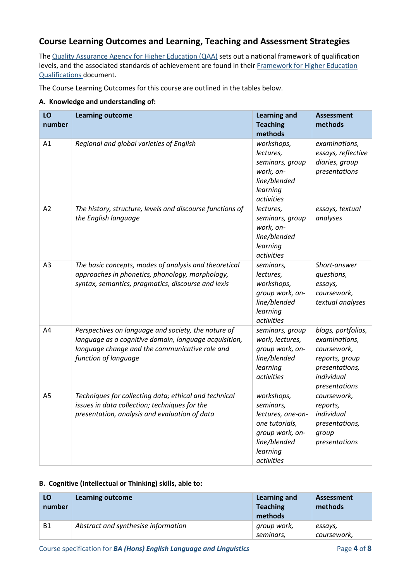## **Course Learning Outcomes and Learning, Teaching and Assessment Strategies**

The [Quality Assurance Agency for Higher Education \(QAA\)](http://www.qaa.ac.uk/en) sets out a national framework of qualification levels, and the associated standards of achievement are found in their [Framework for Higher Education](https://www.qaa.ac.uk/en/quality-code/qualifications-and-credit-frameworks)  [Qualifications](https://www.qaa.ac.uk/en/quality-code/qualifications-and-credit-frameworks) document.

The Course Learning Outcomes for this course are outlined in the tables below.

### **A. Knowledge and understanding of:**

| LO<br>number   | <b>Learning outcome</b>                                                                                                                                                                | <b>Learning and</b><br><b>Teaching</b><br>methods                                                                           | <b>Assessment</b><br>methods                                                                                          |
|----------------|----------------------------------------------------------------------------------------------------------------------------------------------------------------------------------------|-----------------------------------------------------------------------------------------------------------------------------|-----------------------------------------------------------------------------------------------------------------------|
| A1             | Regional and global varieties of English                                                                                                                                               | workshops,<br>lectures,<br>seminars, group<br>work, on-<br>line/blended<br>learning<br>activities                           | examinations,<br>essays, reflective<br>diaries, group<br>presentations                                                |
| A2             | The history, structure, levels and discourse functions of<br>the English language                                                                                                      | lectures,<br>seminars, group<br>work, on-<br>line/blended<br>learning<br>activities                                         | essays, textual<br>analyses                                                                                           |
| A3             | The basic concepts, modes of analysis and theoretical<br>approaches in phonetics, phonology, morphology,<br>syntax, semantics, pragmatics, discourse and lexis                         | seminars,<br>lectures,<br>workshops,<br>group work, on-<br>line/blended<br>learning<br>activities                           | Short-answer<br>questions,<br>essays,<br>coursework,<br>textual analyses                                              |
| A4             | Perspectives on language and society, the nature of<br>language as a cognitive domain, language acquisition,<br>language change and the communicative role and<br>function of language | seminars, group<br>work, lectures,<br>group work, on-<br>line/blended<br>learning<br>activities                             | blogs, portfolios,<br>examinations,<br>coursework,<br>reports, group<br>presentations,<br>individual<br>presentations |
| A <sub>5</sub> | Techniques for collecting data; ethical and technical<br>issues in data collection; techniques for the<br>presentation, analysis and evaluation of data                                | workshops,<br>seminars,<br>lectures, one-on-<br>one tutorials,<br>group work, on-<br>line/blended<br>learning<br>activities | coursework,<br>reports,<br>individual<br>presentations,<br>group<br>presentations                                     |

### **B. Cognitive (Intellectual or Thinking) skills, able to:**

| LO<br>number | Learning outcome                    | Learning and<br><b>Teaching</b><br>methods | Assessment<br>methods  |
|--------------|-------------------------------------|--------------------------------------------|------------------------|
| <b>B1</b>    | Abstract and synthesise information | group work,<br>seminars,                   | essays,<br>coursework, |

Course specification for **BA (Hons) English Language and Linguistics** Page **4** of **8**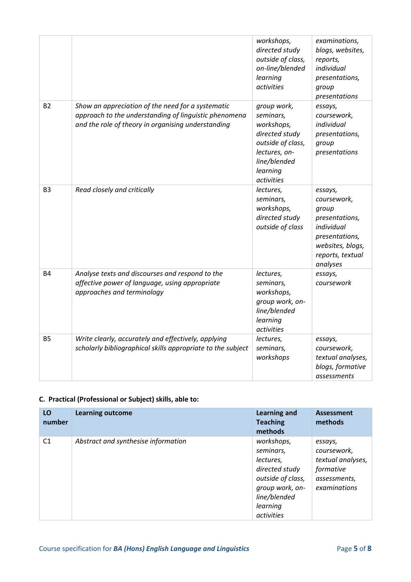|                |                                                                                                                                                                  | workshops,<br>directed study<br>outside of class,<br>on-line/blended<br>learning<br>activities                                           | examinations,<br>blogs, websites,<br>reports,<br>individual<br>presentations,<br>group<br>presentations                               |
|----------------|------------------------------------------------------------------------------------------------------------------------------------------------------------------|------------------------------------------------------------------------------------------------------------------------------------------|---------------------------------------------------------------------------------------------------------------------------------------|
| <b>B2</b>      | Show an appreciation of the need for a systematic<br>approach to the understanding of linguistic phenomena<br>and the role of theory in organising understanding | group work,<br>seminars,<br>workshops,<br>directed study<br>outside of class,<br>lectures, on-<br>line/blended<br>learning<br>activities | essays,<br>coursework,<br>individual<br>presentations,<br>group<br>presentations                                                      |
| B <sub>3</sub> | Read closely and critically                                                                                                                                      | lectures,<br>seminars,<br>workshops,<br>directed study<br>outside of class                                                               | essays,<br>coursework,<br>group<br>presentations,<br>individual<br>presentations,<br>websites, blogs,<br>reports, textual<br>analyses |
| <b>B4</b>      | Analyse texts and discourses and respond to the<br>affective power of language, using appropriate<br>approaches and terminology                                  | lectures,<br>seminars,<br>workshops,<br>group work, on-<br>line/blended<br>learning<br>activities                                        | essays,<br>coursework                                                                                                                 |
| <b>B5</b>      | Write clearly, accurately and effectively, applying<br>scholarly bibliographical skills appropriate to the subject                                               | lectures,<br>seminars,<br>workshops                                                                                                      | essays,<br>coursework,<br>textual analyses,<br>blogs, formative<br>assessments                                                        |

### **C. Practical (Professional or Subject) skills, able to:**

| LO<br>number   | <b>Learning outcome</b>             | <b>Learning and</b><br><b>Teaching</b><br>methods                                                                                        | Assessment<br>methods                                                                    |
|----------------|-------------------------------------|------------------------------------------------------------------------------------------------------------------------------------------|------------------------------------------------------------------------------------------|
| C <sub>1</sub> | Abstract and synthesise information | workshops,<br>seminars,<br>lectures,<br>directed study<br>outside of class,<br>group work, on-<br>line/blended<br>learning<br>activities | essays,<br>coursework.<br>textual analyses,<br>formative<br>assessments,<br>examinations |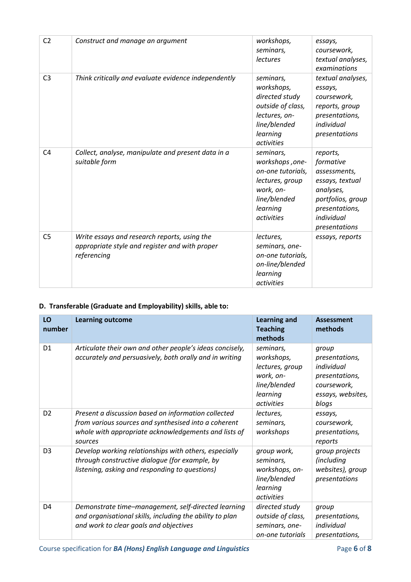| C <sub>2</sub> | Construct and manage an argument                                                                              | workshops,<br>seminars,<br><i>lectures</i>                                                                                  | essays,<br>coursework,<br>textual analyses,<br>examinations                                                                                 |
|----------------|---------------------------------------------------------------------------------------------------------------|-----------------------------------------------------------------------------------------------------------------------------|---------------------------------------------------------------------------------------------------------------------------------------------|
| C <sub>3</sub> | Think critically and evaluate evidence independently                                                          | seminars,<br>workshops,<br>directed study<br>outside of class,<br>lectures, on-<br>line/blended<br>learning<br>activities   | textual analyses,<br>essays,<br>coursework,<br>reports, group<br>presentations,<br>individual<br>presentations                              |
| C <sub>4</sub> | Collect, analyse, manipulate and present data in a<br>suitable form                                           | seminars,<br>workshops, one-<br>on-one tutorials,<br>lectures, group<br>work, on-<br>line/blended<br>learning<br>activities | reports,<br>formative<br>assessments,<br>essays, textual<br>analyses,<br>portfolios, group<br>presentations,<br>individual<br>presentations |
| C <sub>5</sub> | Write essays and research reports, using the<br>appropriate style and register and with proper<br>referencing | lectures,<br>seminars, one-<br>on-one tutorials,<br>on-line/blended<br>learning<br>activities                               | essays, reports                                                                                                                             |

# **D. Transferable (Graduate and Employability) skills, able to:**

| LO<br>number   | <b>Learning outcome</b>                                                                                                                                                        | <b>Learning and</b><br><b>Teaching</b><br>methods                                                        | <b>Assessment</b><br>methods                                                                         |
|----------------|--------------------------------------------------------------------------------------------------------------------------------------------------------------------------------|----------------------------------------------------------------------------------------------------------|------------------------------------------------------------------------------------------------------|
| D <sub>1</sub> | Articulate their own and other people's ideas concisely,<br>accurately and persuasively, both orally and in writing                                                            | seminars,<br>workshops,<br>lectures, group<br>work, on-<br>line/blended<br>learning<br><i>activities</i> | group<br>presentations,<br>individual<br>presentations,<br>coursework,<br>essays, websites,<br>blogs |
| D <sub>2</sub> | Present a discussion based on information collected<br>from various sources and synthesised into a coherent<br>whole with appropriate acknowledgements and lists of<br>sources | lectures,<br>seminars,<br>workshops                                                                      | essays,<br>coursework,<br>presentations,<br>reports                                                  |
| D <sub>3</sub> | Develop working relationships with others, especially<br>through constructive dialogue (for example, by<br>listening, asking and responding to questions)                      | group work,<br>seminars,<br>workshops, on-<br>line/blended<br>learning<br>activities                     | group projects<br><i>(including</i><br>websites), group<br>presentations                             |
| D <sub>4</sub> | Demonstrate time-management, self-directed learning<br>and organisational skills, including the ability to plan<br>and work to clear goals and objectives                      | directed study<br>outside of class,<br>seminars, one-<br>on-one tutorials                                | group<br>presentations,<br>individual<br>presentations,                                              |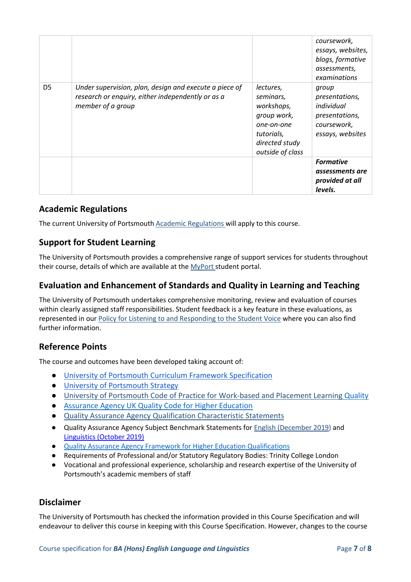|                |                                                                                                                                  |                                                                                                                       | coursework,<br>essays, websites,<br>blogs, formative<br>assessments,<br>examinations       |
|----------------|----------------------------------------------------------------------------------------------------------------------------------|-----------------------------------------------------------------------------------------------------------------------|--------------------------------------------------------------------------------------------|
| D <sub>5</sub> | Under supervision, plan, design and execute a piece of<br>research or enguiry, either independently or as a<br>member of a group | lectures,<br>seminars,<br>workshops,<br>group work,<br>one-on-one<br>tutorials,<br>directed study<br>outside of class | group<br>presentations,<br>individual<br>presentations,<br>coursework,<br>essays, websites |
|                |                                                                                                                                  |                                                                                                                       | <b>Formative</b><br>assessments are<br>provided at all<br>levels.                          |

### **Academic Regulations**

The current University of Portsmouth [Academic Regulations](http://www.port.ac.uk/departments/services/academicregistry/qmd/assessmentandregulations/) will apply to this course.

### **Support for Student Learning**

The University of Portsmouth provides a comprehensive range of support services for students throughout their course, details of which are available at the [MyPort](http://myport.ac.uk/) student portal.

### **Evaluation and Enhancement of Standards and Quality in Learning and Teaching**

The University of Portsmouth undertakes comprehensive monitoring, review and evaluation of courses within clearly assigned staff responsibilities. Student feedback is a key feature in these evaluations, as represented in our [Policy for Listening to and Responding to the Student Voice](http://policies.docstore.port.ac.uk/policy-069.pdf) where you can also find further information.

### **Reference Points**

The course and outcomes have been developed taking account of:

- [University of Portsmouth Curriculum Framework Specification](https://policies.docstore.port.ac.uk/policy-217.pdf?_ga=2.262170252.1863271531.1625471462-353504235.1613498042)
- [University of Portsmouth Strategy](https://www.port.ac.uk/about-us/our-ambition/our-strategy)
- [University of Portsmouth Code of Practice for Work-based and Placement Learning](http://policies.docstore.port.ac.uk/policy-151.pdf) [Quality](https://www.qaa.ac.uk/quality-code/UK-Quality-Code-for-Higher-Education-2013-18)
- [Assurance Agency UK Quality Code for Higher Education](https://www.qaa.ac.uk/quality-code/UK-Quality-Code-for-Higher-Education-2013-18)
- [Quality Assurance Agency Qualification Characteristic Statements](https://www.qaa.ac.uk/quality-code/supporting-resources)
- Quality Assurance Agency Subject Benchmark Statements for [English \(December 2019\)](https://www.qaa.ac.uk/docs/qaa/subject-benchmark-statements/subject-benchmark-statement-english.pdf?sfvrsn=47e2cb81_4) and [Linguistics \(October 2019\)](https://www.qaa.ac.uk/docs/qaa/subject-benchmark-statements/subject-benchmark-statement-linguistics.pdf?sfvrsn=ecf3c881_4)
- [Quality Assurance Agency Framework for Higher Education Qualifications](https://www.qaa.ac.uk/en/quality-code/qualifications-and-credit-frameworks)
- Requirements of Professional and/or Statutory Regulatory Bodies: Trinity College London
- Vocational and professional experience, scholarship and research expertise of the University of Portsmouth's academic members of staff

### **Disclaimer**

The University of Portsmouth has checked the information provided in this Course Specification and will endeavour to deliver this course in keeping with this Course Specification. However, changes to the course